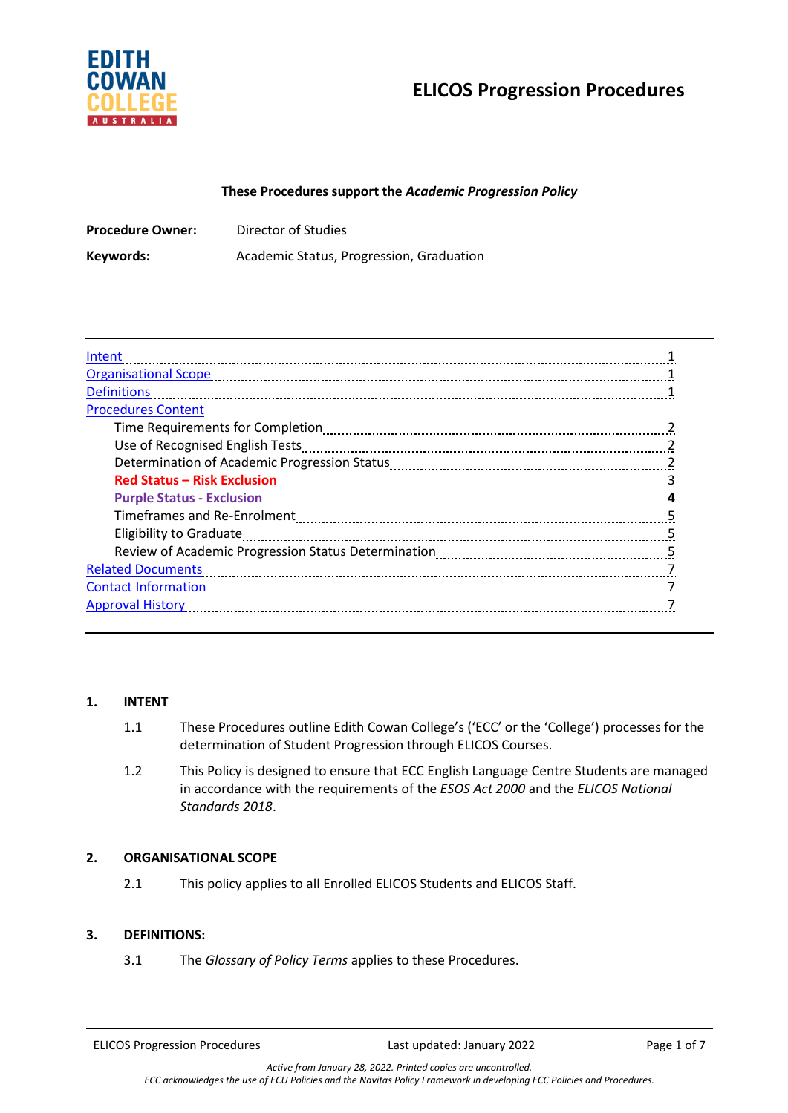

# **ELICOS Progression Procedures**

## **These Procedures support the** *Academic Progression Policy*

| <b>Procedure Owner:</b> | Director of Studies                      |
|-------------------------|------------------------------------------|
| Keywords:               | Academic Status, Progression, Graduation |

| Intent                                                                                                                                                                                                                               |  |
|--------------------------------------------------------------------------------------------------------------------------------------------------------------------------------------------------------------------------------------|--|
| <b>Organisational Scope</b>                                                                                                                                                                                                          |  |
| <b>Definitions</b>                                                                                                                                                                                                                   |  |
| <b>Procedures Content</b>                                                                                                                                                                                                            |  |
|                                                                                                                                                                                                                                      |  |
| Use of Recognised English Tests                                                                                                                                                                                                      |  |
|                                                                                                                                                                                                                                      |  |
| Red Status - Risk Exclusion <b>Manufacture of the Contract Orange Contract Contract Contract Contract Contract Contract Contract Contract Contract Contract Contract Contract Contract Contract Contract Contract Contract Contr</b> |  |
| Purple Status - Exclusion <b>Manual According to the Status According Contract Contract Contract Contract Contract Contract Contract Contract Contract Contract Contract Contract Contract Contract Contract Contract Contract C</b> |  |
|                                                                                                                                                                                                                                      |  |
| <b>Eligibility to Graduate</b>                                                                                                                                                                                                       |  |
|                                                                                                                                                                                                                                      |  |
| <b>Related Documents</b>                                                                                                                                                                                                             |  |
| <b>Contact Information</b>                                                                                                                                                                                                           |  |
| <b>Approval History</b>                                                                                                                                                                                                              |  |

## **1. INTENT**

- 1.1 These Procedures outline Edith Cowan College's ('ECC' or the 'College') processes for the determination of Student Progression through ELICOS Courses.
- 1.2 This Policy is designed to ensure that ECC English Language Centre Students are managed in accordance with the requirements of the *ESOS Act 2000* and the *ELICOS National Standards 2018*.

## **2. ORGANISATIONAL SCOPE**

2.1 This policy applies to all Enrolled ELICOS Students and ELICOS Staff.

## **3. DEFINITIONS:**

3.1 The *Glossary of Policy Terms* applies to these Procedures.

ELICOS Progression Procedures **Last updated: January 2022** Page 1 of 7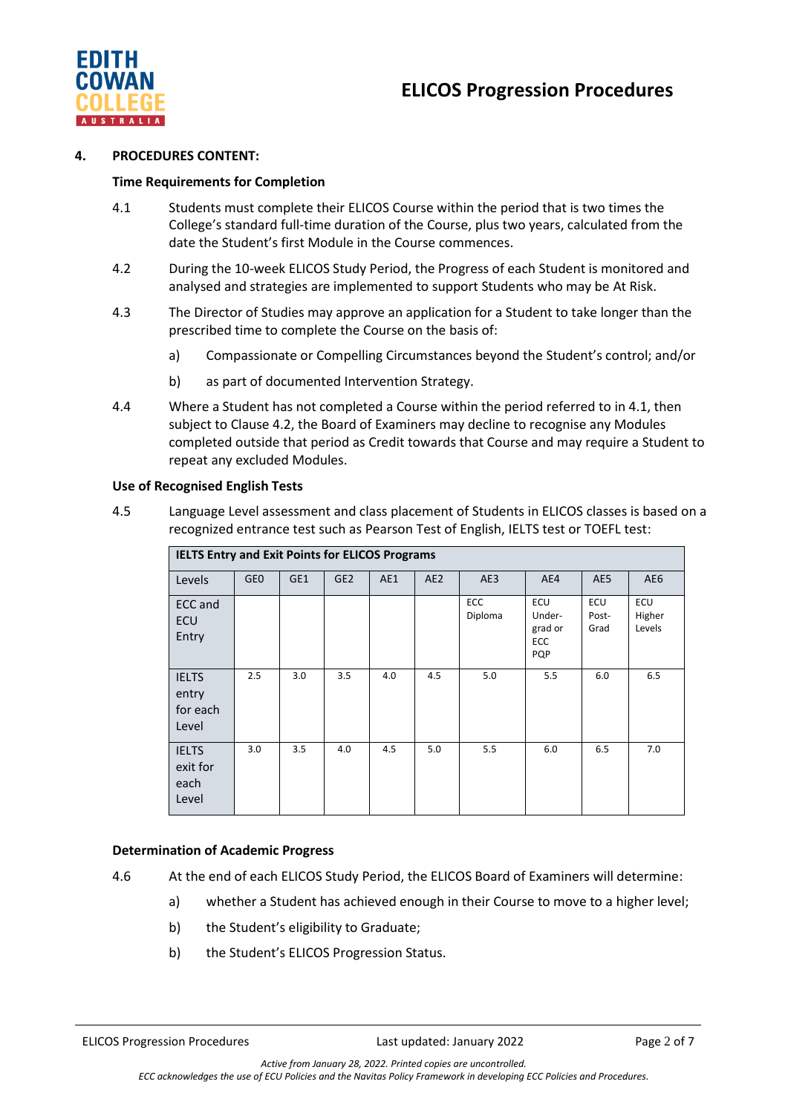

## **4. PROCEDURES CONTENT:**

## **Time Requirements for Completion**

- 4.1 Students must complete their ELICOS Course within the period that is two times the College's standard full-time duration of the Course, plus two years, calculated from the date the Student's first Module in the Course commences.
- 4.2 During the 10-week ELICOS Study Period, the Progress of each Student is monitored and analysed and strategies are implemented to support Students who may be At Risk.
- 4.3 The Director of Studies may approve an application for a Student to take longer than the prescribed time to complete the Course on the basis of:
	- a) Compassionate or Compelling Circumstances beyond the Student's control; and/or
	- b) as part of documented Intervention Strategy.
- 4.4 Where a Student has not completed a Course within the period referred to in 4.1, then subject to Clause 4.2, the Board of Examiners may decline to recognise any Modules completed outside that period as Credit towards that Course and may require a Student to repeat any excluded Modules.

## **Use of Recognised English Tests**

4.5 Language Level assessment and class placement of Students in ELICOS classes is based on a recognized entrance test such as Pearson Test of English, IELTS test or TOEFL test:

| <b>IELTS Entry and Exit Points for ELICOS Programs</b> |                 |     |                 |     |                 |                       |                                               |                      |                         |
|--------------------------------------------------------|-----------------|-----|-----------------|-----|-----------------|-----------------------|-----------------------------------------------|----------------------|-------------------------|
| Levels                                                 | GE <sub>0</sub> | GE1 | GE <sub>2</sub> | AE1 | AE <sub>2</sub> | AE3                   | AE4                                           | AE5                  | AE6                     |
| ECC and<br>ECU<br>Entry                                |                 |     |                 |     |                 | <b>ECC</b><br>Diploma | ECU<br>Under-<br>grad or<br><b>ECC</b><br>PQP | ECU<br>Post-<br>Grad | ECU<br>Higher<br>Levels |
| <b>IELTS</b><br>entry<br>for each<br>Level             | 2.5             | 3.0 | 3.5             | 4.0 | 4.5             | 5.0                   | 5.5                                           | 6.0                  | 6.5                     |
| <b>IELTS</b><br>exit for<br>each<br>Level              | 3.0             | 3.5 | 4.0             | 4.5 | 5.0             | 5.5                   | 6.0                                           | 6.5                  | 7.0                     |

## **Determination of Academic Progress**

- 4.6 At the end of each ELICOS Study Period, the ELICOS Board of Examiners will determine:
	- a) whether a Student has achieved enough in their Course to move to a higher level;
	- b) the Student's eligibility to Graduate;
	- b) the Student's ELICOS Progression Status.

ELICOS Progression Procedures **Last updated: January 2022** Page 2 of 7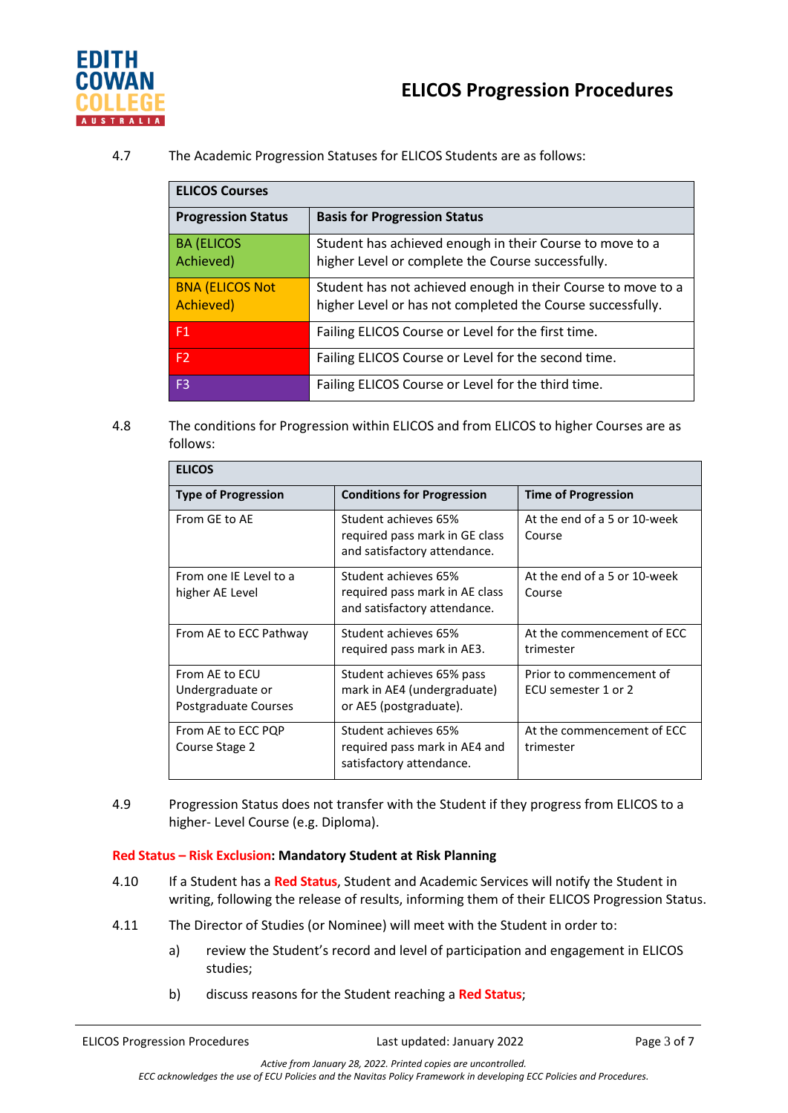

# 4.7 The Academic Progression Statuses for ELICOS Students are as follows:

| <b>ELICOS Courses</b>               |                                                                                                                            |  |
|-------------------------------------|----------------------------------------------------------------------------------------------------------------------------|--|
| <b>Progression Status</b>           | <b>Basis for Progression Status</b>                                                                                        |  |
| <b>BA (ELICOS</b><br>Achieved)      | Student has achieved enough in their Course to move to a<br>higher Level or complete the Course successfully.              |  |
| <b>BNA (ELICOS Not</b><br>Achieved) | Student has not achieved enough in their Course to move to a<br>higher Level or has not completed the Course successfully. |  |
| F1                                  | Failing ELICOS Course or Level for the first time.                                                                         |  |
| F <sub>2</sub>                      | Failing ELICOS Course or Level for the second time.                                                                        |  |
| F <sub>3</sub>                      | Failing ELICOS Course or Level for the third time.                                                                         |  |

# 4.8 The conditions for Progression within ELICOS and from ELICOS to higher Courses are as follows:

| <b>ELICOS</b>                                              |                                                                                        |                                                 |  |  |
|------------------------------------------------------------|----------------------------------------------------------------------------------------|-------------------------------------------------|--|--|
| <b>Type of Progression</b>                                 | <b>Conditions for Progression</b>                                                      | <b>Time of Progression</b>                      |  |  |
| From GE to AE                                              | Student achieves 65%<br>required pass mark in GE class<br>and satisfactory attendance. | At the end of a 5 or 10-week<br>Course          |  |  |
| From one IE Level to a<br>higher AE Level                  | Student achieves 65%<br>required pass mark in AE class<br>and satisfactory attendance. | At the end of a 5 or 10-week<br>Course          |  |  |
| From AE to ECC Pathway                                     | Student achieves 65%<br>required pass mark in AE3.                                     | At the commencement of ECC<br>trimester         |  |  |
| From AE to ECU<br>Undergraduate or<br>Postgraduate Courses | Student achieves 65% pass<br>mark in AE4 (undergraduate)<br>or AE5 (postgraduate).     | Prior to commencement of<br>ECU semester 1 or 2 |  |  |
| From AE to ECC PQP<br>Course Stage 2                       | Student achieves 65%<br>required pass mark in AE4 and<br>satisfactory attendance.      | At the commencement of ECC<br>trimester         |  |  |

4.9 Progression Status does not transfer with the Student if they progress from ELICOS to a higher- Level Course (e.g. Diploma).

## **Red Status – Risk Exclusion: Mandatory Student at Risk Planning**

- 4.10 If a Student has a **Red Status**, Student and Academic Services will notify the Student in writing, following the release of results, informing them of their ELICOS Progression Status.
- 4.11 The Director of Studies (or Nominee) will meet with the Student in order to:
	- a) review the Student's record and level of participation and engagement in ELICOS studies;
	- b) discuss reasons for the Student reaching a **Red Status**;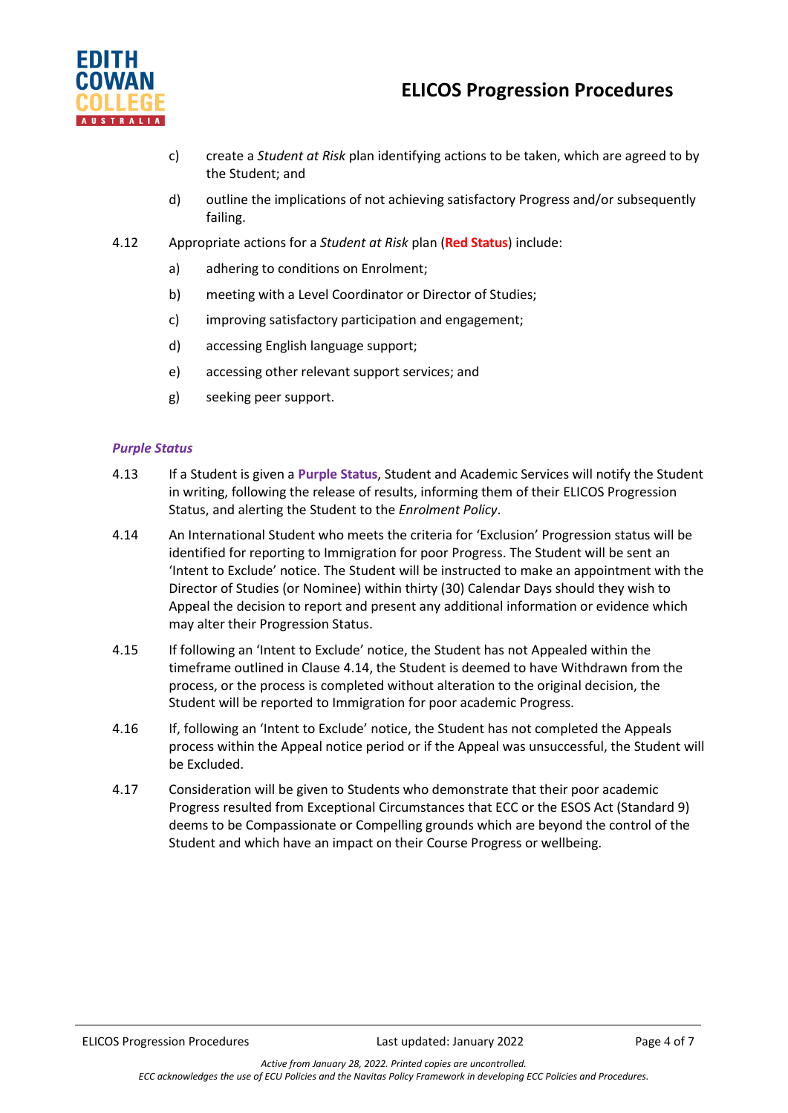

- c) create a *Student at Risk* plan identifying actions to be taken, which are agreed to by the Student; and
- d) outline the implications of not achieving satisfactory Progress and/or subsequently failing.
- 4.12 Appropriate actions for a *Student at Risk* plan (**Red Status**) include:
	- a) adhering to conditions on Enrolment;
	- b) meeting with a Level Coordinator or Director of Studies;
	- c) improving satisfactory participation and engagement;
	- d) accessing English language support;
	- e) accessing other relevant support services; and
	- g) seeking peer support.

## *Purple Status*

- 4.13 If a Student is given a **Purple Status**, Student and Academic Services will notify the Student in writing, following the release of results, informing them of their ELICOS Progression Status, and alerting the Student to the *Enrolment Policy*.
- 4.14 An International Student who meets the criteria for 'Exclusion' Progression status will be identified for reporting to Immigration for poor Progress. The Student will be sent an 'Intent to Exclude' notice. The Student will be instructed to make an appointment with the Director of Studies (or Nominee) within thirty (30) Calendar Days should they wish to Appeal the decision to report and present any additional information or evidence which may alter their Progression Status.
- 4.15 If following an 'Intent to Exclude' notice, the Student has not Appealed within the timeframe outlined in Clause 4.14, the Student is deemed to have Withdrawn from the process, or the process is completed without alteration to the original decision, the Student will be reported to Immigration for poor academic Progress.
- 4.16 If, following an 'Intent to Exclude' notice, the Student has not completed the Appeals process within the Appeal notice period or if the Appeal was unsuccessful, the Student will be Excluded.
- 4.17 Consideration will be given to Students who demonstrate that their poor academic Progress resulted from Exceptional Circumstances that ECC or the ESOS Act (Standard 9) deems to be Compassionate or Compelling grounds which are beyond the control of the Student and which have an impact on their Course Progress or wellbeing.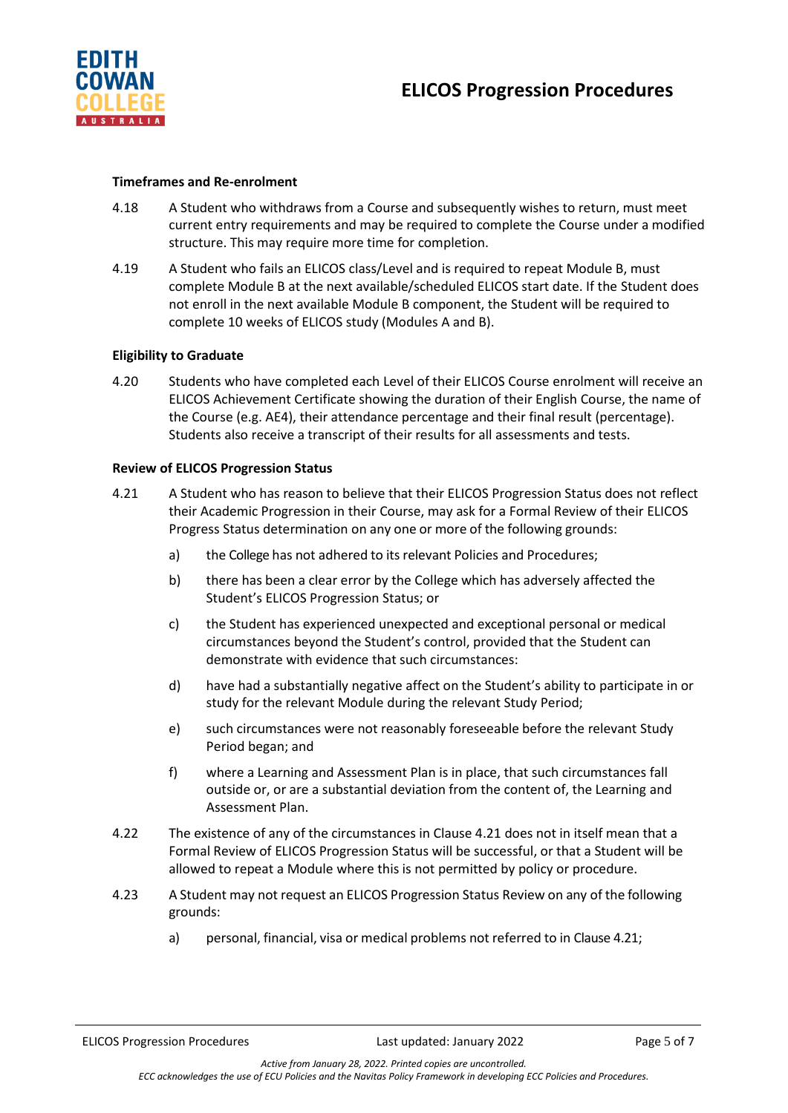

## **Timeframes and Re-enrolment**

- 4.18 A Student who withdraws from a Course and subsequently wishes to return, must meet current entry requirements and may be required to complete the Course under a modified structure. This may require more time for completion.
- 4.19 A Student who fails an ELICOS class/Level and is required to repeat Module B, must complete Module B at the next available/scheduled ELICOS start date. If the Student does not enroll in the next available Module B component, the Student will be required to complete 10 weeks of ELICOS study (Modules A and B).

## **Eligibility to Graduate**

4.20 Students who have completed each Level of their ELICOS Course enrolment will receive an ELICOS Achievement Certificate showing the duration of their English Course, the name of the Course (e.g. AE4), their attendance percentage and their final result (percentage). Students also receive a transcript of their results for all assessments and tests.

## **Review of ELICOS Progression Status**

- 4.21 A Student who has reason to believe that their ELICOS Progression Status does not reflect their Academic Progression in their Course, may ask for a Formal Review of their ELICOS Progress Status determination on any one or more of the following grounds:
	- a) the College has not adhered to its relevant Policies and Procedures;
	- b) there has been a clear error by the College which has adversely affected the Student's ELICOS Progression Status; or
	- c) the Student has experienced unexpected and exceptional personal or medical circumstances beyond the Student's control, provided that the Student can demonstrate with evidence that such circumstances:
	- d) have had a substantially negative affect on the Student's ability to participate in or study for the relevant Module during the relevant Study Period;
	- e) such circumstances were not reasonably foreseeable before the relevant Study Period began; and
	- f) where a Learning and Assessment Plan is in place, that such circumstances fall outside or, or are a substantial deviation from the content of, the Learning and Assessment Plan.
- 4.22 The existence of any of the circumstances in Clause 4.21 does not in itself mean that a Formal Review of ELICOS Progression Status will be successful, or that a Student will be allowed to repeat a Module where this is not permitted by policy or procedure.
- 4.23 A Student may not request an ELICOS Progression Status Review on any of the following grounds:
	- a) personal, financial, visa or medical problems not referred to in Clause 4.21;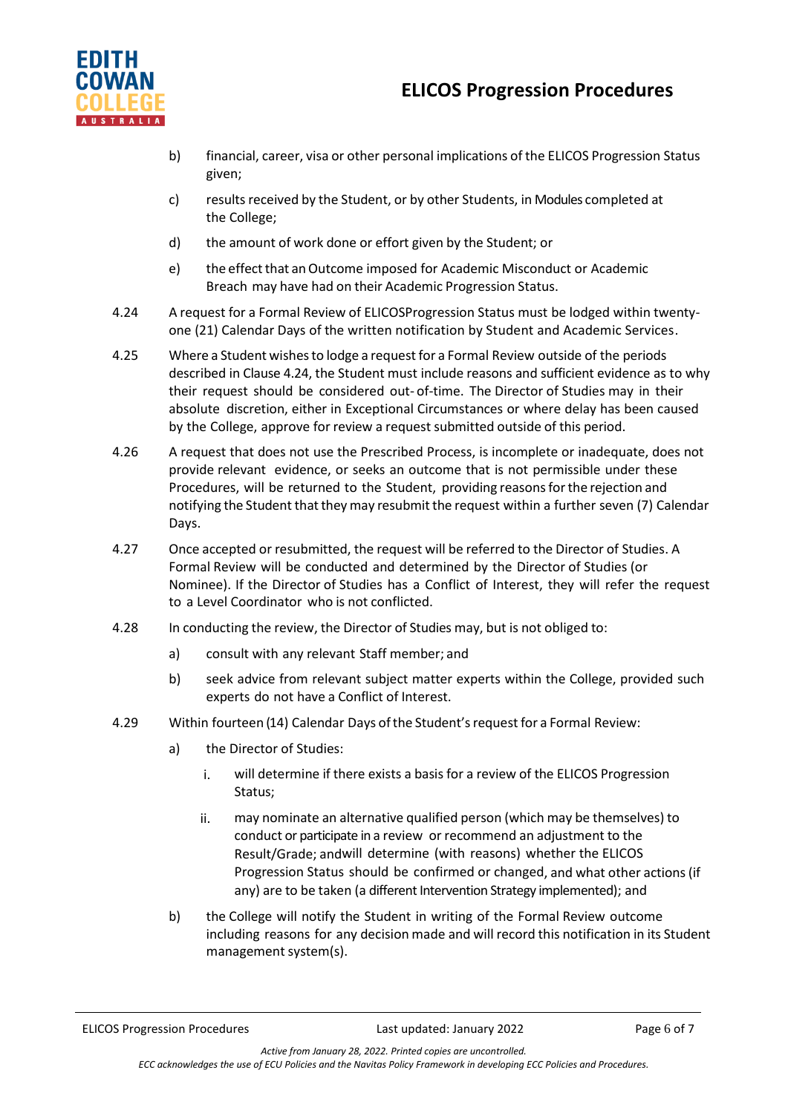

- b) financial, career, visa or other personal implications of the ELICOS Progression Status given;
- c) results received by the Student, or by other Students, in Modules completed at the College;
- d) the amount of work done or effort given by the Student; or
- e) the effectthat anOutcome imposed for Academic Misconduct or Academic Breach may have had on their Academic Progression Status.
- 4.24 A request for a Formal Review of ELICOSProgression Status must be lodged within twentyone (21) Calendar Days of the written notification by Student and Academic Services.
- 4.25 Where a Student wishesto lodge a request for a Formal Review outside of the periods described in Clause 4.24, the Student must include reasons and sufficient evidence as to why their request should be considered out- of-time. The Director of Studies may in their absolute discretion, either in Exceptional Circumstances or where delay has been caused by the College, approve for review a request submitted outside of this period.
- 4.26 A request that does not use the Prescribed Process, is incomplete or inadequate, does not provide relevant evidence, or seeks an outcome that is not permissible under these Procedures, will be returned to the Student, providing reasonsforthe rejection and notifying the Student that they may resubmit the request within a further seven (7) Calendar Days.
- 4.27 Once accepted or resubmitted, the request will be referred to the Director of Studies. A Formal Review will be conducted and determined by the Director of Studies (or Nominee). If the Director of Studies has a Conflict of Interest, they will refer the request to a Level Coordinator who is not conflicted.
- 4.28 In conducting the review, the Director of Studies may, but is not obliged to:
	- a) consult with any relevant Staff member; and
	- b) seek advice from relevant subject matter experts within the College, provided such experts do not have a Conflict of Interest.
- 4.29 Within fourteen (14) Calendar Days ofthe Student'srequest for a Formal Review:
	- a) the Director of Studies:
		- i. will determine if there exists a basis for a review of the ELICOS Progression Status;
		- ii. may nominate an alternative qualified person (which may be themselves) to conduct or participate in a review or recommend an adjustment to the Result/Grade; andwill determine (with reasons) whether the ELICOS Progression Status should be confirmed or changed, and what other actions(if any) are to be taken (a different Intervention Strategy implemented); and
	- b) the College will notify the Student in writing of the Formal Review outcome including reasons for any decision made and will record this notification in its Student management system(s).